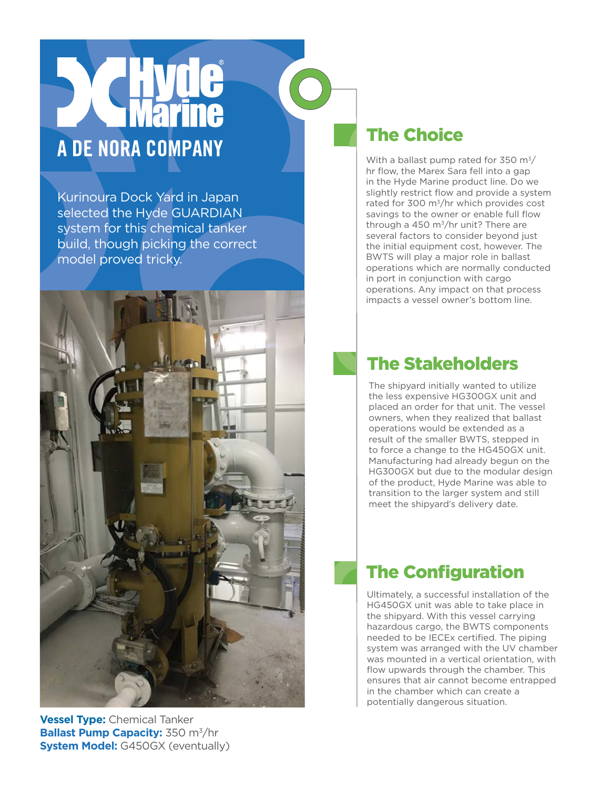## A DE NORA COMPANY

Kurinoura Dock Yard in Japan selected the Hyde GUARDIAN system for this chemical tanker build, though picking the correct model proved tricky.



**Vessel Type:** Chemical Tanker **Ballast Pump Capacity:** 350 m<sup>3</sup>/hr **System Model:** G450GX (eventually)

## The Choice

With a ballast pump rated for 350  $\text{m}^3$ / hr flow, the Marex Sara fell into a gap in the Hyde Marine product line. Do we slightly restrict flow and provide a system rated for 300 m3/hr which provides cost savings to the owner or enable full flow through a 450  $m^3$ /hr unit? There are several factors to consider beyond just the initial equipment cost, however. The BWTS will play a major role in ballast operations which are normally conducted in port in conjunction with cargo operations. Any impact on that process impacts a vessel owner's bottom line.

## The Stakeholders

The shipyard initially wanted to utilize the less expensive HG300GX unit and placed an order for that unit. The vessel owners, when they realized that ballast operations would be extended as a result of the smaller BWTS, stepped in to force a change to the HG450GX unit. Manufacturing had already begun on the HG300GX but due to the modular design of the product, Hyde Marine was able to transition to the larger system and still meet the shipyard's delivery date.

## The Configuration

Ultimately, a successful installation of the HG450GX unit was able to take place in the shipyard. With this vessel carrying hazardous cargo, the BWTS components needed to be IECEx certified. The piping system was arranged with the UV chamber was mounted in a vertical orientation, with flow upwards through the chamber. This ensures that air cannot become entrapped in the chamber which can create a potentially dangerous situation.